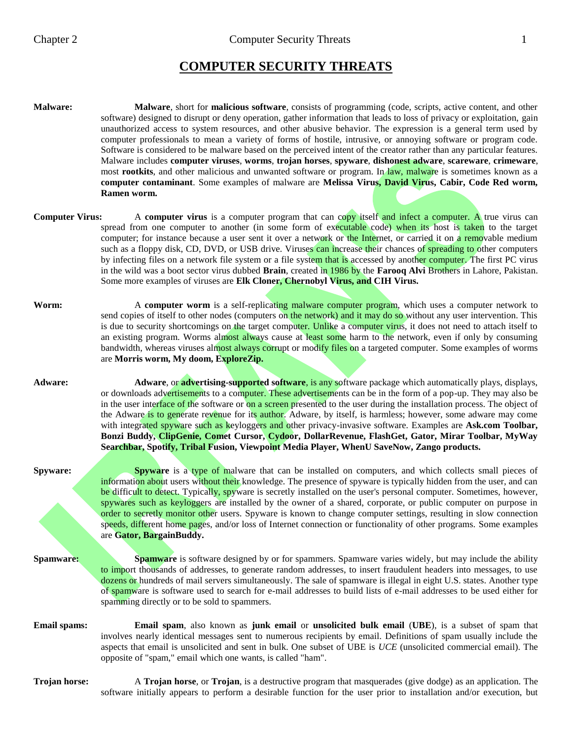# **COMPUTER SECURITY THREATS**

- **Malware: Malware**, short for **malicious software**, consists of programming (code, scripts, active content, and other software) designed to disrupt or deny operation, gather information that leads to loss of privacy or exploitation, gain unauthorized access to system resources, and other abusive behavior. The expression is a general term used by computer professionals to mean a variety of forms of hostile, intrusive, or annoying software or program code. Software is considered to be malware based on the perceived intent of the creator rather than any particular features. Malware includes **computer viruses**, **worms**, **trojan horses**, **spyware**, **dishonest adware**, **scareware**, **crimeware**, most **rootkits**, and other malicious and unwanted software or program. In law, malware is sometimes known as a **computer contaminant**. Some examples of malware are **Melissa Virus, David Virus, Cabir, Code Red worm, Ramen worm.**
- **Computer Virus:** A **computer virus** is a computer program that can copy itself and infect a computer. A true virus can spread from one computer to another (in some form of executable code) when its host is taken to the target computer; for instance because a user sent it over a network or the Internet, or carried it on a removable medium such as a floppy disk, CD, DVD, or USB drive. Viruses can increase their chances of spreading to other computers by infecting files on a network file system or a file system that is accessed by another computer. The first PC virus in the wild was a boot sector virus dubbed **Brain**, created in 1986 by the **Farooq Alvi** Brothers in Lahore, Pakistan. Some more examples of viruses are **Elk Cloner, Chernobyl Virus, and CIH Virus.**
- **Worm:** A **computer worm** is a self-replicating malware computer program, which uses a computer network to send copies of itself to other nodes (computers on the network) and it may do so without any user intervention. This is due to security shortcomings on the target computer. Unlike a computer virus, it does not need to attach itself to an existing program. Worms almost always cause at least some harm to the network, even if only by consuming bandwidth, whereas viruses almost always corrupt or modify files on a targeted computer. Some examples of worms are **Morris worm, My doom, ExploreZip.**
- **Adware: Adware**, or **advertising-supported software**, is any software package which automatically plays, displays, or downloads advertisements to a computer. These advertisements can be in the form of a pop-up. They may also be in the user interface of the software or on a screen presented to the user during the installation process. The object of the Adware is to generate revenue for its author. Adware, by itself, is harmless; however, some adware may come with integrated spyware such as keyloggers and other privacy-invasive software. Examples are Ask.com Toolbar, **Bonzi Buddy, ClipGenie, Comet Cursor, Cydoor, DollarRevenue, FlashGet, Gator, Mirar Toolbar, MyWay Searchbar, Spotify, Tribal Fusion, Viewpoint Media Player, WhenU SaveNow, Zango products.**
- **Spyware: Spyware** is a type of malware that can be installed on computers, and which collects small pieces of information about users without their knowledge. The presence of spyware is typically hidden from the user, and can be difficult to detect. Typically, spyware is secretly installed on the user's personal computer. Sometimes, however, spywares such as keyloggers are installed by the owner of a shared, corporate, or public computer on purpose in order to secretly monitor other users. Spyware is known to change computer settings, resulting in slow connection speeds, different home pages, and/or loss of Internet connection or functionality of other programs. Some examples are **Gator, BargainBuddy.**
- 

**Spamware: Spamware** is software designed by or for spammers. Spamware varies widely, but may include the ability to import thousands of addresses, to generate random addresses, to insert fraudulent headers into messages, to use dozens or hundreds of mail servers simultaneously. The sale of spamware is illegal in eight U.S. states. Another type of spamware is software used to search for e-mail addresses to build lists of e-mail addresses to be used either for spamming directly or to be sold to spammers.

- **Email spams: Email spam**, also known as **junk email** or **unsolicited bulk email** (**UBE**), is a subset of spam that involves nearly identical messages sent to numerous recipients by email. Definitions of spam usually include the aspects that email is unsolicited and sent in bulk. One subset of UBE is *UCE* (unsolicited commercial email). The opposite of "spam," email which one wants, is called "ham".
- **Trojan horse:** A **Trojan horse**, or **Trojan**, is a destructive program that masquerades (give dodge) as an application. The software initially appears to perform a desirable function for the user prior to installation and/or execution, but